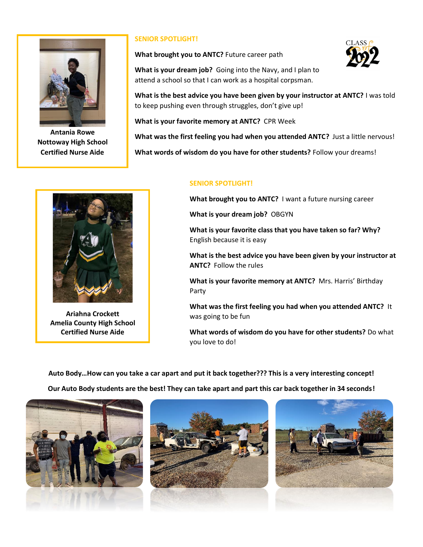

**Antania Rowe Nottoway High School Certified Nurse Aide**

## **SENIOR SPOTLIGHT!**

**What brought you to ANTC?** Future career path

**What is your dream job?** Going into the Navy, and I plan to attend a school so that I can work as a hospital corpsman.



**What is the best advice you have been given by your instructor at ANTC?** I was told to keep pushing even through struggles, don't give up!

**What is your favorite memory at ANTC?** CPR Week

**What was the first feeling you had when you attended ANTC?** Just a little nervous!

**What words of wisdom do you have for other students?** Follow your dreams!

## **SENIOR SPOTLIGHT!**

**What brought you to ANTC?** I want a future nursing career

**What is your dream job?** OBGYN

**What is your favorite class that you have taken so far? Why?**  English because it is easy

**What is the best advice you have been given by your instructor at ANTC?** Follow the rules

**What is your favorite memory at ANTC?** Mrs. Harris' Birthday Party

**What was the first feeling you had when you attended ANTC?** It was going to be fun

**What words of wisdom do you have for other students?** Do what you love to do!

**Auto Body…How can you take a car apart and put it back together??? This is a very interesting concept!**

**Our Auto Body students are the best! They can take apart and part this car back together in 34 seconds!**



**Ariahna Crockett Amelia County High School Certified Nurse Aide**



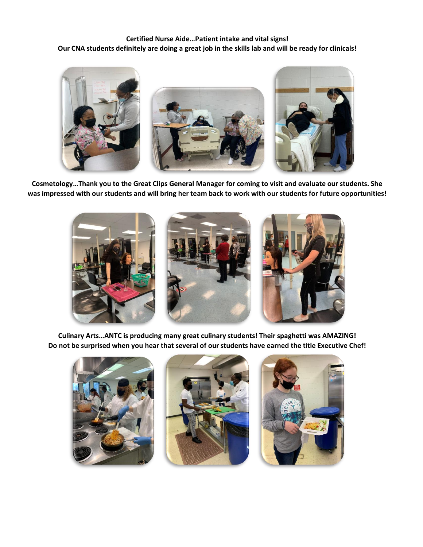**Certified Nurse Aide…Patient intake and vital signs! Our CNA students definitely are doing a great job in the skills lab and will be ready for clinicals!**



**Cosmetology…Thank you to the Great Clips General Manager for coming to visit and evaluate our students. She was impressed with our students and will bring her team back to work with our students for future opportunities!** 



**Culinary Arts…ANTC is producing many great culinary students! Their spaghetti was AMAZING! Do not be surprised when you hear that several of our students have earned the title Executive Chef!**